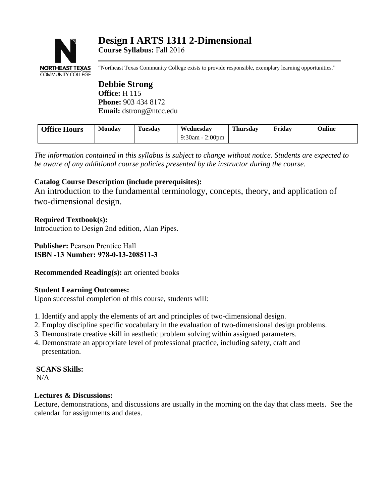# **NORTHEAST TEXAS COMMUNITY COLLEGE**

"Northeast Texas Community College exists to provide responsible, exemplary learning opportunities."

**Debbie Strong Office:** H 115 **Phone:** 903 434 8172 **Email:** dstrong@ntcc.edu

| <b>Office Hours</b> | Monday |  | Wednesdav                             | Thursdav | Fridav | Online |
|---------------------|--------|--|---------------------------------------|----------|--------|--------|
|                     |        |  | 9:30am - $\sim$<br>2:00 <sub>pm</sub> |          |        |        |

*The information contained in this syllabus is subject to change without notice. Students are expected to be aware of any additional course policies presented by the instructor during the course.* 

# **Catalog Course Description (include prerequisites):**

An introduction to the fundamental terminology, concepts, theory, and application of two-dimensional design.

**Required Textbook(s):** Introduction to Design 2nd edition, Alan Pipes.

**Publisher:** Pearson Prentice Hall **ISBN -13 Number: 978-0-13-208511-3**

**Recommended Reading(s):** art oriented books

# **Student Learning Outcomes:**

Upon successful completion of this course, students will:

- 1. Identify and apply the elements of art and principles of two-dimensional design.
- 2. Employ discipline specific vocabulary in the evaluation of two-dimensional design problems.
- 3. Demonstrate creative skill in aesthetic problem solving within assigned parameters.
- 4. Demonstrate an appropriate level of professional practice, including safety, craft and presentation.

**SCANS Skills:** N/A

# **Lectures & Discussions:**

Lecture, demonstrations, and discussions are usually in the morning on the day that class meets. See the calendar for assignments and dates.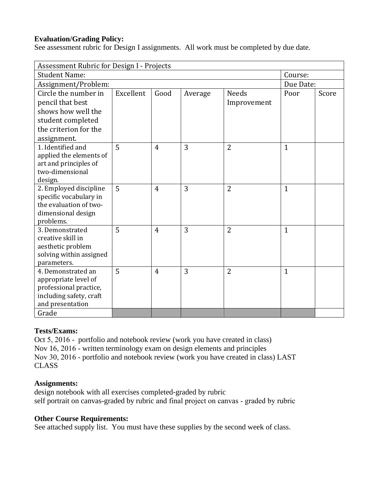# **Evaluation/Grading Policy:**

See assessment rubric for Design I assignments. All work must be completed by due date.

| Assessment Rubric for Design I - Projects                                                                                    |           |                |         |                             |              |       |  |  |  |
|------------------------------------------------------------------------------------------------------------------------------|-----------|----------------|---------|-----------------------------|--------------|-------|--|--|--|
| <b>Student Name:</b>                                                                                                         | Course:   |                |         |                             |              |       |  |  |  |
| Assignment/Problem:                                                                                                          | Due Date: |                |         |                             |              |       |  |  |  |
| Circle the number in<br>pencil that best<br>shows how well the<br>student completed<br>the criterion for the<br>assignment.  | Excellent | Good           | Average | <b>Needs</b><br>Improvement | Poor         | Score |  |  |  |
| 1. Identified and<br>applied the elements of<br>art and principles of<br>two-dimensional<br>design.                          | 5         | $\overline{4}$ | 3       | $\overline{2}$              | $\mathbf{1}$ |       |  |  |  |
| 2. Employed discipline<br>specific vocabulary in<br>the evaluation of two-<br>dimensional design<br>problems.                | 5         | $\overline{4}$ | 3       | $\overline{2}$              | $\mathbf{1}$ |       |  |  |  |
| 3. Demonstrated<br>creative skill in<br>aesthetic problem<br>solving within assigned<br>parameters.                          | 5         | $\overline{4}$ | 3       | $\overline{2}$              | $\mathbf{1}$ |       |  |  |  |
| 4. Demonstrated an<br>appropriate level of<br>professional practice,<br>including safety, craft<br>and presentation<br>Grade | 5         | $\overline{4}$ | 3       | $\overline{2}$              | $\mathbf{1}$ |       |  |  |  |
|                                                                                                                              |           |                |         |                             |              |       |  |  |  |

# **Tests/Exams:**

Oct 5, 2016 - portfolio and notebook review (work you have created in class) Nov 16, 2016 - written terminology exam on design elements and principles Nov 30, 2016 - portfolio and notebook review (work you have created in class) LAST CLASS

## **Assignments:**

design notebook with all exercises completed-graded by rubric self portrait on canvas-graded by rubric and final project on canvas - graded by rubric

## **Other Course Requirements:**

See attached supply list. You must have these supplies by the second week of class.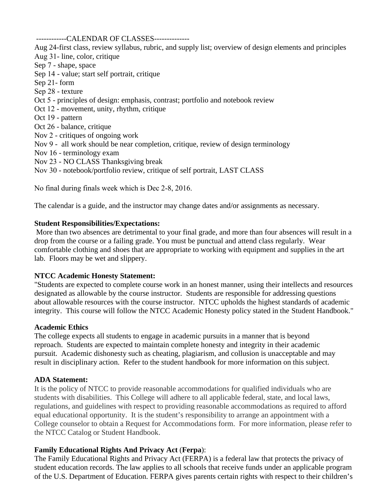------------CALENDAR OF CLASSES--------------

Aug 24-first class, review syllabus, rubric, and supply list; overview of design elements and principles Aug 31- line, color, critique Sep 7 - shape, space Sep 14 - value; start self portrait, critique Sep 21- form Sep 28 - texture Oct 5 - principles of design: emphasis, contrast; portfolio and notebook review Oct 12 - movement, unity, rhythm, critique Oct 19 - pattern Oct 26 - balance, critique Nov 2 - critiques of ongoing work Nov 9 - all work should be near completion, critique, review of design terminology Nov 16 - terminology exam Nov 23 - NO CLASS Thanksgiving break

Nov 30 - notebook/portfolio review, critique of self portrait, LAST CLASS

No final during finals week which is Dec 2-8, 2016.

The calendar is a guide, and the instructor may change dates and/or assignments as necessary.

#### **Student Responsibilities/Expectations:**

 More than two absences are detrimental to your final grade, and more than four absences will result in a drop from the course or a failing grade. You must be punctual and attend class regularly. Wear comfortable clothing and shoes that are appropriate to working with equipment and supplies in the art lab. Floors may be wet and slippery.

## **NTCC Academic Honesty Statement:**

"Students are expected to complete course work in an honest manner, using their intellects and resources designated as allowable by the course instructor. Students are responsible for addressing questions about allowable resources with the course instructor. NTCC upholds the highest standards of academic integrity. This course will follow the NTCC Academic Honesty policy stated in the Student Handbook."

#### **Academic Ethics**

The college expects all students to engage in academic pursuits in a manner that is beyond reproach. Students are expected to maintain complete honesty and integrity in their academic pursuit. Academic dishonesty such as cheating, plagiarism, and collusion is unacceptable and may result in disciplinary action. Refer to the student handbook for more information on this subject.

## **ADA Statement:**

It is the policy of NTCC to provide reasonable accommodations for qualified individuals who are students with disabilities. This College will adhere to all applicable federal, state, and local laws, regulations, and guidelines with respect to providing reasonable accommodations as required to afford equal educational opportunity. It is the student's responsibility to arrange an appointment with a College counselor to obtain a Request for Accommodations form. For more information, please refer to the NTCC Catalog or Student Handbook.

## **Family Educational Rights And Privacy Act** (**Ferpa**):

The Family Educational Rights and Privacy Act (FERPA) is a federal law that protects the privacy of student education records. The law applies to all schools that receive funds under an applicable program of the U.S. Department of Education. FERPA gives parents certain rights with respect to their children's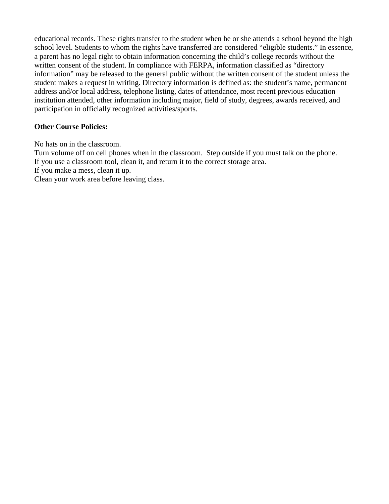educational records. These rights transfer to the student when he or she attends a school beyond the high school level. Students to whom the rights have transferred are considered "eligible students." In essence, a parent has no legal right to obtain information concerning the child's college records without the written consent of the student. In compliance with FERPA, information classified as "directory information" may be released to the general public without the written consent of the student unless the student makes a request in writing. Directory information is defined as: the student's name, permanent address and/or local address, telephone listing, dates of attendance, most recent previous education institution attended, other information including major, field of study, degrees, awards received, and participation in officially recognized activities/sports.

# **Other Course Policies:**

No hats on in the classroom.

Turn volume off on cell phones when in the classroom. Step outside if you must talk on the phone. If you use a classroom tool, clean it, and return it to the correct storage area.

If you make a mess, clean it up.

Clean your work area before leaving class.